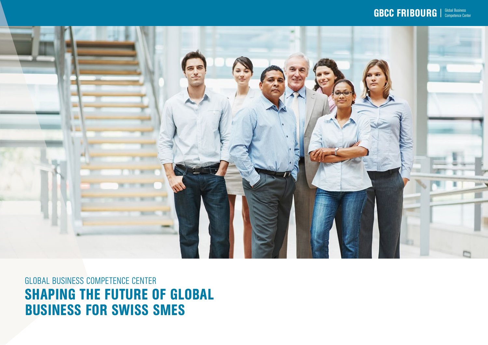#### $\textbf{GBCC}\textbf{ FRIBOURG} \parallel \textbf{Global Business}$



GLOBAL BUSINESS COMPETENCE CENTER SHAPING THE FUTURE OF GLOBAL BUSINESS FOR SWISS SMES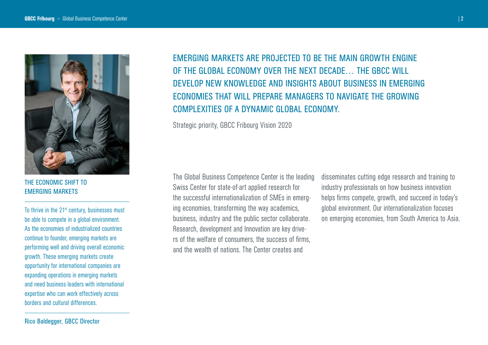

THE ECONOMIC SHIFT TO EMERGING MARKETS

To thrive in the 21<sup>st</sup> century, businesses must be able to compete in a global environment. As the economies of industrialized countries continue to founder, emerging markets are performing well and driving overall economic growth. These emerging markets create opportunity for international companies are expanding operations in emerging markets and need business leaders with international expertise who can work effectively across borders and cultural differences.

EMERGING MARKETS ARE PROJECTED TO BE THE MAIN GROWTH ENGINE OF THE GLOBAL ECONOMY OVER THE NEXT DECADE… THE GBCC WILL DEVELOP NEW KNOWLEDGE AND INSIGHTS ABOUT BUSINESS IN EMERGING ECONOMIES THAT WILL PREPARE MANAGERS TO NAVIGATE THE GROWING COMPLEXITIES OF A DYNAMIC GLOBAL ECONOMY.

Strategic priority, GBCC Fribourg Vision 2020

The Global Business Competence Center is the leading Swiss Center for state-of-art applied research for the successful internationalization of SMEs in emerging economies, transforming the way academics, business, industry and the public sector collaborate. Research, development and Innovation are key drivers of the welfare of consumers, the success of firms, and the wealth of nations. The Center creates and

disseminates cutting edge research and training to industry professionals on how business innovation helps firms compete, growth, and succeed in today's global environment. Our internationalization focuses on emerging economies, from South America to Asia.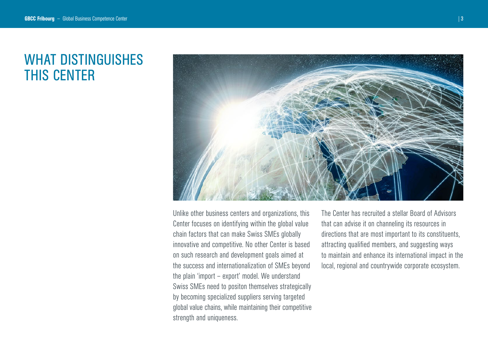### WHAT DISTINGUISHES THIS CENTER



Unlike other business centers and organizations, this Center focuses on identifying within the global value chain factors that can make Swiss SMEs globally innovative and competitive. No other Center is based on such research and development goals aimed at the success and internationalization of SMEs beyond the plain 'import – export' model. We understand Swiss SMEs need to positon themselves strategically by becoming specialized suppliers serving targeted global value chains, while maintaining their competitive strength and uniqueness.

The Center has recruited a stellar Board of Advisors that can advise it on channeling its resources in directions that are most important to its constituents, attracting qualified members, and suggesting ways to maintain and enhance its international impact in the local, regional and countrywide corporate ecosystem.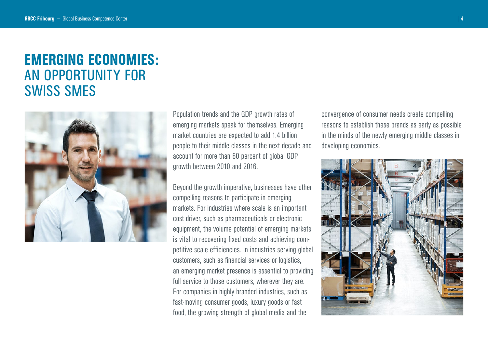### EMERGING ECONOMIES: AN OPPORTUNITY FOR SWISS SMES



Population trends and the GDP growth rates of emerging markets speak for themselves. Emerging market countries are expected to add 1.4 billion people to their middle classes in the next decade and account for more than 60 percent of global GDP growth between 2010 and 2016.

Beyond the growth imperative, businesses have other compelling reasons to participate in emerging markets. For industries where scale is an important cost driver, such as pharmaceuticals or electronic equipment, the volume potential of emerging markets is vital to recovering fixed costs and achieving competitive scale efficiencies. In industries serving global customers, such as financial services or logistics, an emerging market presence is essential to providing full service to those customers, wherever they are. For companies in highly branded industries, such as fast-moving consumer goods, luxury goods or fast food, the growing strength of global media and the

convergence of consumer needs create compelling reasons to establish these brands as early as possible in the minds of the newly emerging middle classes in developing economies.

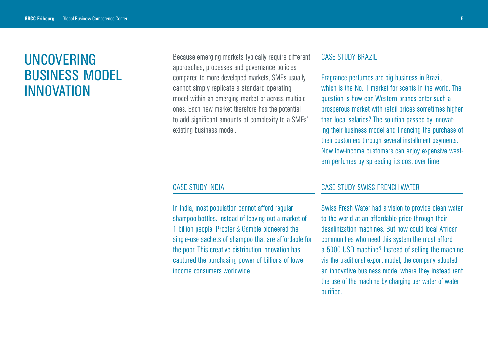## UNCOVERING BUSINESS MODEL INNOVATION

Because emerging markets typically require different approaches, processes and governance policies compared to more developed markets, SMEs usually cannot simply replicate a standard operating model within an emerging market or across multiple ones. Each new market therefore has the potential to add significant amounts of complexity to a SMEs' existing business model.

#### CASE STUDY BRAZIL

Fragrance perfumes are big business in Brazil, which is the No. 1 market for scents in the world. The question is how can Western brands enter such a prosperous market with retail prices sometimes higher than local salaries? The solution passed by innovating their business model and financing the purchase of their customers through several installment payments. Now low-income customers can enjoy expensive western perfumes by spreading its cost over time.

#### CASE STUDY INDIA

In India, most population cannot afford regular shampoo bottles. Instead of leaving out a market of 1 billion people, Procter & Gamble pioneered the single-use sachets of shampoo that are affordable for the poor. This creative distribution innovation has captured the purchasing power of billions of lower income consumers worldwide

#### CASE STUDY SWISS FRENCH WATER

Swiss Fresh Water had a vision to provide clean water to the world at an affordable price through their desalinization machines. But how could local African communities who need this system the most afford a 5000 USD machine? Instead of selling the machine via the traditional export model, the company adopted an innovative business model where they instead rent the use of the machine by charging per water of water purified.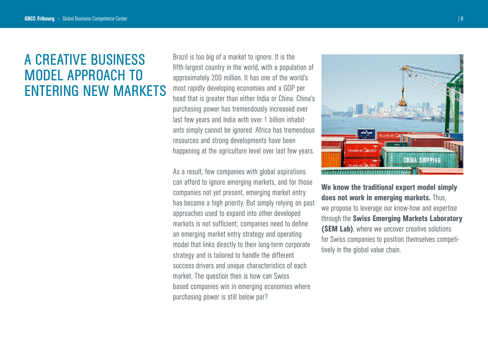## A CREATIVE BUSINESS MODEL APPROACH TO ENTERING NEW MARKETS

Brazil is too big of a market to ignore. It is the fifth-largest country in the world, with a population of approximately 200 million. It has one of the world's most rapidly developing economies and a GDP per head that is greater than either India or China. China's purchasing power has tremendously increased over last few years and India with over 1 billion inhabitants simply cannot be ignored. Africa has tremendous resources and strong developments have been happening at the agriculture level over last few years.

As a result, few companies with global aspirations can afford to ignore emerging markets, and for those companies not yet present, emerging market entry has become a high priority. But simply relying on past approaches used to expand into other developed markets is not sufficient; companies need to define an emerging market entry strategy and operating model that links directly to their long-term corporate strategy and is tailored to handle the different success drivers and unique characteristics of each market. The question then is how can Swiss based companies win in emerging economies where purchasing power is still below par?



We know the traditional export model simply does not work in emerging markets. Thus, we propose to leverage our know-how and expertise through the Swiss Emerging Markets Laboratory (SEM Lab), where we uncover creative solutions for Swiss companies to position themselves competitively in the global value chain.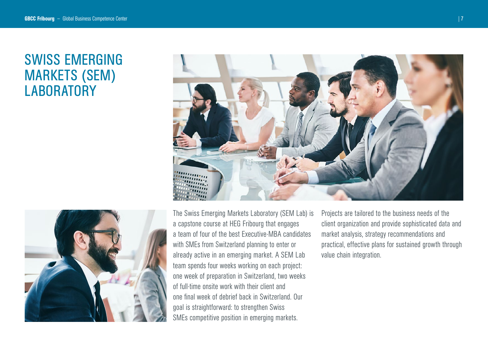## SWISS EMERGING MARKETS (SEM) **LABORATORY**





The Swiss Emerging Markets Laboratory (SEM Lab) is a capstone course at HEG Fribourg that engages a team of four of the best Executive-MBA candidates with SMEs from Switzerland planning to enter or already active in an emerging market. A SEM Lab team spends four weeks working on each project: one week of preparation in Switzerland, two weeks of full-time onsite work with their client and one final week of debrief back in Switzerland. Our goal is straightforward: to strengthen Swiss SMEs competitive position in emerging markets.

Projects are tailored to the business needs of the client organization and provide sophisticated data and market analysis, strategy recommendations and practical, effective plans for sustained growth through value chain integration.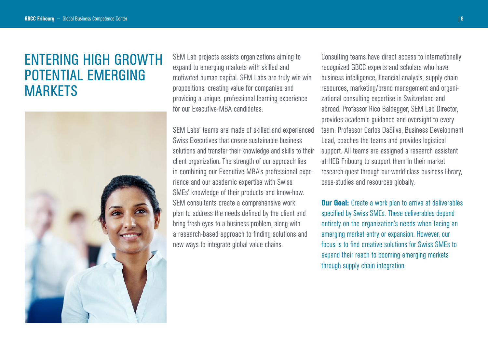## ENTERING HIGH GROWTH POTENTIAL EMERGING **MARKETS**



SEM Lab projects assists organizations aiming to expand to emerging markets with skilled and motivated human capital. SEM Labs are truly win-win propositions, creating value for companies and providing a unique, professional learning experience for our Executive-MBA candidates.

SEM Labs' teams are made of skilled and experienced Swiss Executives that create sustainable business solutions and transfer their knowledge and skills to their client organization. The strength of our approach lies in combining our Executive-MBA's professional experience and our academic expertise with Swiss SMEs' knowledge of their products and know-how. SEM consultants create a comprehensive work plan to address the needs defined by the client and bring fresh eyes to a business problem, along with a research-based approach to finding solutions and new ways to integrate global value chains.

Consulting teams have direct access to internationally recognized GBCC experts and scholars who have business intelligence, financial analysis, supply chain resources, marketing/brand management and organizational consulting expertise in Switzerland and abroad. Professor Rico Baldegger, SEM Lab Director, provides academic guidance and oversight to every team. Professor Carlos DaSilva, Business Development Lead, coaches the teams and provides logistical support. All teams are assigned a research assistant at HEG Fribourg to support them in their market research quest through our world-class business library, case-studies and resources globally.

**Our Goal:** Create a work plan to arrive at deliverables specified by Swiss SMEs. These deliverables depend entirely on the organization's needs when facing an emerging market entry or expansion. However, our focus is to find creative solutions for Swiss SMEs to expand their reach to booming emerging markets through supply chain integration.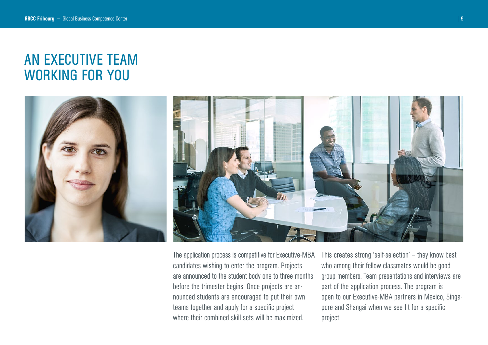## AN EXECUTIVE TEAM WORKING FOR YOU



The application process is competitive for Executive-MBA candidates wishing to enter the program. Projects are announced to the student body one to three months before the trimester begins. Once projects are announced students are encouraged to put their own teams together and apply for a specific project where their combined skill sets will be maximized.

This creates strong 'self-selection' – they know best who among their fellow classmates would be good group members. Team presentations and interviews are part of the application process. The program is open to our Executive-MBA partners in Mexico, Singapore and Shangai when we see fit for a specific project.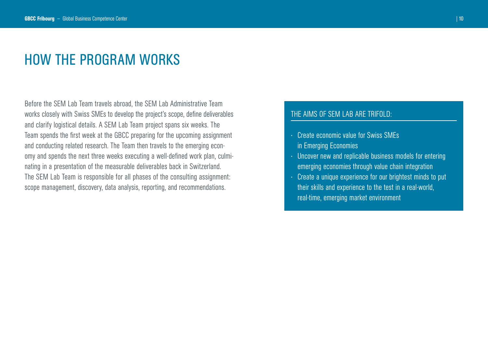#### HOW THE PROGRAM WORKS

Before the SEM Lab Team travels abroad, the SEM Lab Administrative Team works closely with Swiss SMEs to develop the project's scope, define deliverables and clarify logistical details. A SEM Lab Team project spans six weeks. The Team spends the first week at the GBCC preparing for the upcoming assignment and conducting related research. The Team then travels to the emerging economy and spends the next three weeks executing a well-defined work plan, culminating in a presentation of the measurable deliverables back in Switzerland. The SEM Lab Team is responsible for all phases of the consulting assignment: scope management, discovery, data analysis, reporting, and recommendations.

#### THE AIMS OF SEM LAB ARE TRIFOLD:

- · Create economic value for Swiss SMEs in Emerging Economies
- · Uncover new and replicable business models for entering emerging economies through value chain integration
- · Create a unique experience for our brightest minds to put their skills and experience to the test in a real-world, real-time, emerging market environment